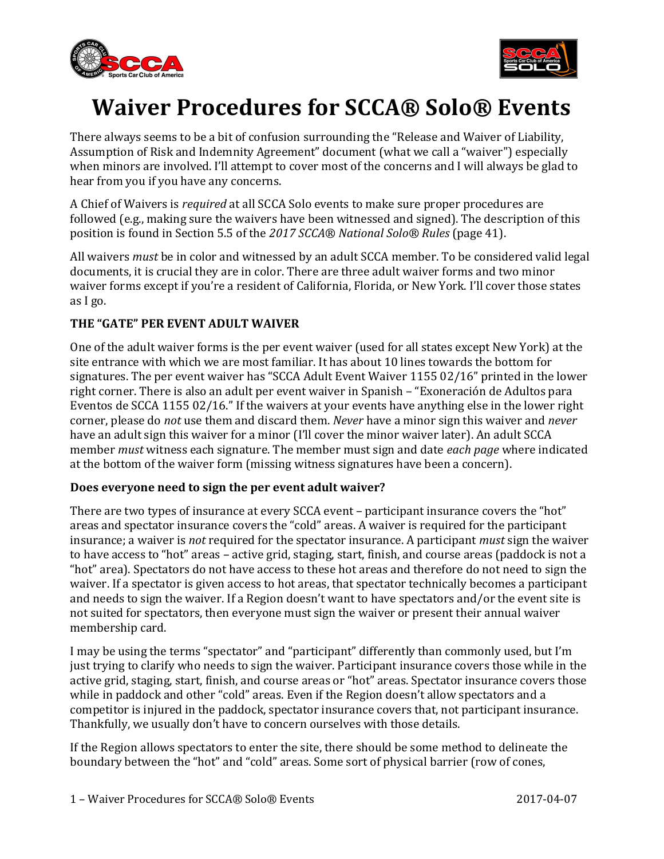



# Waiver Procedures for SCCA® Solo® Events

There always seems to be a bit of confusion surrounding the "Release and Waiver of Liability, Assumption of Risk and Indemnity Agreement" document (what we call a "waiver") especially when minors are involved. I'll attempt to cover most of the concerns and I will always be glad to hear from you if you have any concerns.

A Chief of Waivers is required at all SCCA Solo events to make sure proper procedures are followed (e.g., making sure the waivers have been witnessed and signed). The description of this position is found in Section 5.5 of the 2017 SCCA® National Solo® Rules (page 41).

All waivers *must* be in color and witnessed by an adult SCCA member. To be considered valid legal documents, it is crucial they are in color. There are three adult waiver forms and two minor waiver forms except if you're a resident of California, Florida, or New York. I'll cover those states as I go.

# THE "GATE" PER EVENT ADULT WAIVER

One of the adult waiver forms is the per event waiver (used for all states except New York) at the site entrance with which we are most familiar. It has about 10 lines towards the bottom for signatures. The per event waiver has "SCCA Adult Event Waiver 1155 02/16" printed in the lower right corner. There is also an adult per event waiver in Spanish – "Exoneración de Adultos para Eventos de SCCA 1155 02/16." If the waivers at your events have anything else in the lower right corner, please do not use them and discard them. Never have a minor sign this waiver and never have an adult sign this waiver for a minor (I'll cover the minor waiver later). An adult SCCA member must witness each signature. The member must sign and date each page where indicated at the bottom of the waiver form (missing witness signatures have been a concern).

### Does everyone need to sign the per event adult waiver?

There are two types of insurance at every SCCA event – participant insurance covers the "hot" areas and spectator insurance covers the "cold" areas. A waiver is required for the participant insurance; a waiver is not required for the spectator insurance. A participant must sign the waiver to have access to "hot" areas – active grid, staging, start, finish, and course areas (paddock is not a "hot" area). Spectators do not have access to these hot areas and therefore do not need to sign the waiver. If a spectator is given access to hot areas, that spectator technically becomes a participant and needs to sign the waiver. If a Region doesn't want to have spectators and/or the event site is not suited for spectators, then everyone must sign the waiver or present their annual waiver membership card.

I may be using the terms "spectator" and "participant" differently than commonly used, but I'm just trying to clarify who needs to sign the waiver. Participant insurance covers those while in the active grid, staging, start, finish, and course areas or "hot" areas. Spectator insurance covers those while in paddock and other "cold" areas. Even if the Region doesn't allow spectators and a competitor is injured in the paddock, spectator insurance covers that, not participant insurance. Thankfully, we usually don't have to concern ourselves with those details.

If the Region allows spectators to enter the site, there should be some method to delineate the boundary between the "hot" and "cold" areas. Some sort of physical barrier (row of cones,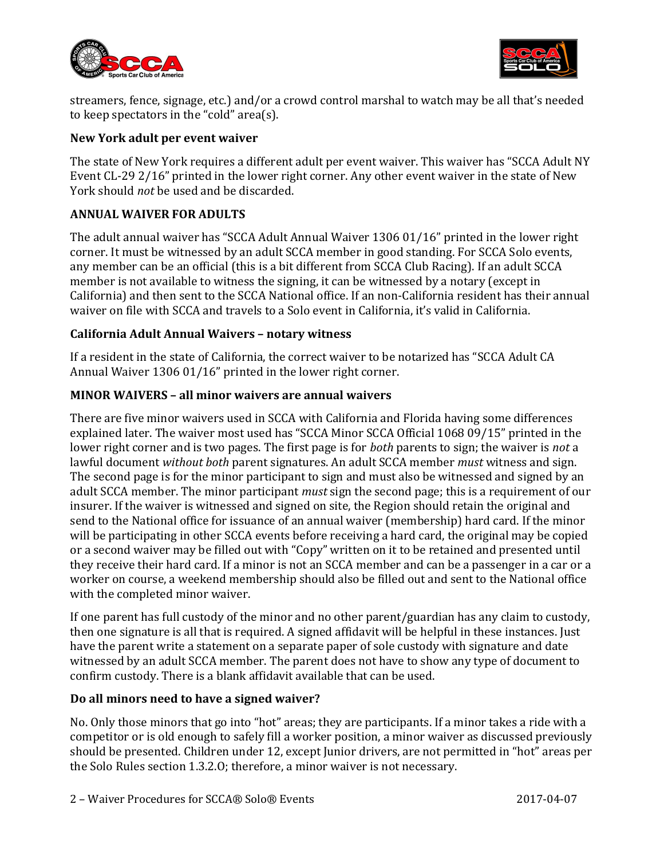



streamers, fence, signage, etc.) and/or a crowd control marshal to watch may be all that's needed to keep spectators in the "cold" area(s).

# New York adult per event waiver

The state of New York requires a different adult per event waiver. This waiver has "SCCA Adult NY Event CL-29 2/16" printed in the lower right corner. Any other event waiver in the state of New York should not be used and be discarded.

# ANNUAL WAIVER FOR ADULTS

The adult annual waiver has "SCCA Adult Annual Waiver 1306 01/16" printed in the lower right corner. It must be witnessed by an adult SCCA member in good standing. For SCCA Solo events, any member can be an official (this is a bit different from SCCA Club Racing). If an adult SCCA member is not available to witness the signing, it can be witnessed by a notary (except in California) and then sent to the SCCA National office. If an non-California resident has their annual waiver on file with SCCA and travels to a Solo event in California, it's valid in California.

# California Adult Annual Waivers – notary witness

If a resident in the state of California, the correct waiver to be notarized has "SCCA Adult CA Annual Waiver 1306 01/16" printed in the lower right corner.

# MINOR WAIVERS – all minor waivers are annual waivers

There are five minor waivers used in SCCA with California and Florida having some differences explained later. The waiver most used has "SCCA Minor SCCA Official 1068 09/15" printed in the lower right corner and is two pages. The first page is for *both* parents to sign; the waiver is *not* a lawful document without both parent signatures. An adult SCCA member *must* witness and sign. The second page is for the minor participant to sign and must also be witnessed and signed by an adult SCCA member. The minor participant *must* sign the second page; this is a requirement of our insurer. If the waiver is witnessed and signed on site, the Region should retain the original and send to the National office for issuance of an annual waiver (membership) hard card. If the minor will be participating in other SCCA events before receiving a hard card, the original may be copied or a second waiver may be filled out with "Copy" written on it to be retained and presented until they receive their hard card. If a minor is not an SCCA member and can be a passenger in a car or a worker on course, a weekend membership should also be filled out and sent to the National office with the completed minor waiver.

If one parent has full custody of the minor and no other parent/guardian has any claim to custody, then one signature is all that is required. A signed affidavit will be helpful in these instances. Just have the parent write a statement on a separate paper of sole custody with signature and date witnessed by an adult SCCA member. The parent does not have to show any type of document to confirm custody. There is a blank affidavit available that can be used.

### Do all minors need to have a signed waiver?

No. Only those minors that go into "hot" areas; they are participants. If a minor takes a ride with a competitor or is old enough to safely fill a worker position, a minor waiver as discussed previously should be presented. Children under 12, except Junior drivers, are not permitted in "hot" areas per the Solo Rules section 1.3.2.O; therefore, a minor waiver is not necessary.